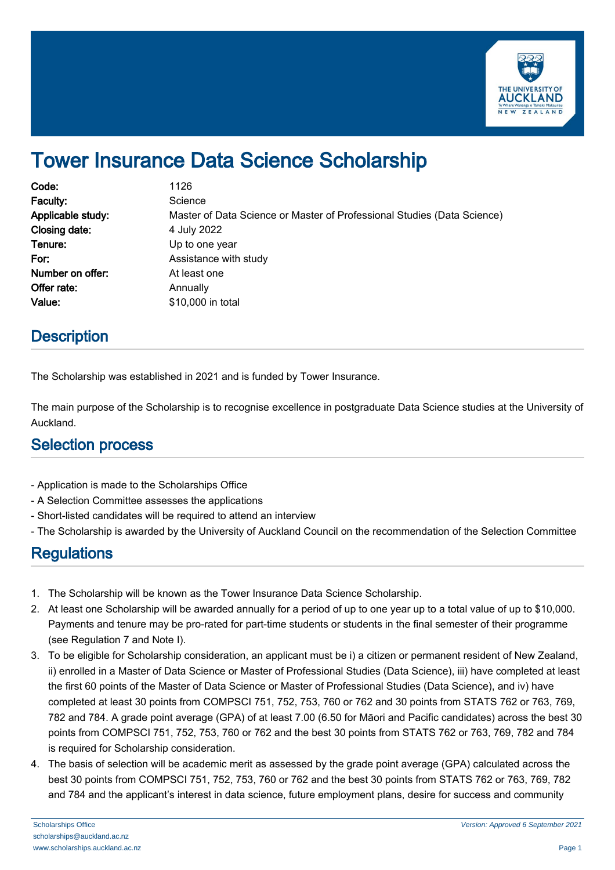

# Tower Insurance Data Science Scholarship

| Code:             | 1126                                                                    |
|-------------------|-------------------------------------------------------------------------|
| Faculty:          | Science                                                                 |
| Applicable study: | Master of Data Science or Master of Professional Studies (Data Science) |
| Closing date:     | 4 July 2022                                                             |
| Tenure:           | Up to one year                                                          |
| For:              | Assistance with study                                                   |
| Number on offer:  | At least one                                                            |
| Offer rate:       | Annually                                                                |
| Value:            | \$10,000 in total                                                       |

### **Description**

The Scholarship was established in 2021 and is funded by Tower Insurance.

The main purpose of the Scholarship is to recognise excellence in postgraduate Data Science studies at the University of Auckland.

#### Selection process

- Application is made to the Scholarships Office
- A Selection Committee assesses the applications
- Short-listed candidates will be required to attend an interview
- The Scholarship is awarded by the University of Auckland Council on the recommendation of the Selection Committee

## **Regulations**

- 1. The Scholarship will be known as the Tower Insurance Data Science Scholarship.
- 2. At least one Scholarship will be awarded annually for a period of up to one year up to a total value of up to \$10,000. Payments and tenure may be pro-rated for part-time students or students in the final semester of their programme (see Regulation 7 and Note I).
- 3. To be eligible for Scholarship consideration, an applicant must be i) a citizen or permanent resident of New Zealand, ii) enrolled in a Master of Data Science or Master of Professional Studies (Data Science), iii) have completed at least the first 60 points of the Master of Data Science or Master of Professional Studies (Data Science), and iv) have completed at least 30 points from COMPSCI 751, 752, 753, 760 or 762 and 30 points from STATS 762 or 763, 769, 782 and 784. A grade point average (GPA) of at least 7.00 (6.50 for Māori and Pacific candidates) across the best 30 points from COMPSCI 751, 752, 753, 760 or 762 and the best 30 points from STATS 762 or 763, 769, 782 and 784 is required for Scholarship consideration.
- 4. The basis of selection will be academic merit as assessed by the grade point average (GPA) calculated across the best 30 points from COMPSCI 751, 752, 753, 760 or 762 and the best 30 points from STATS 762 or 763, 769, 782 and 784 and the applicant's interest in data science, future employment plans, desire for success and community